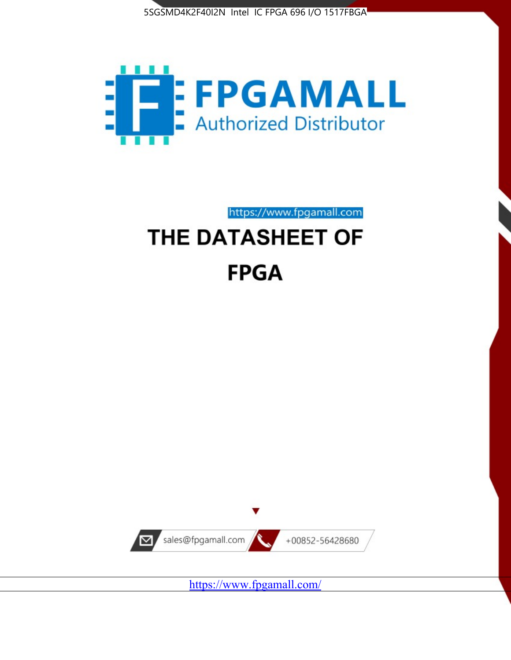



# https://www.fpgamall.com THE DATASHEET OF **FPGA**



<https://www.fpgamall.com/>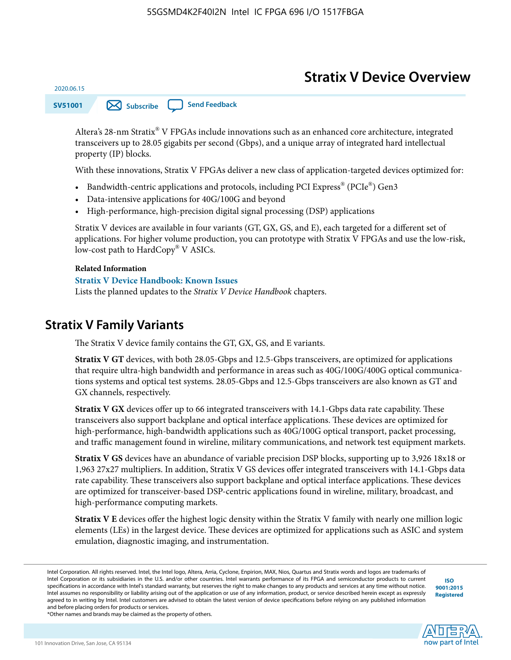# **Stratix V Device Overview**

**SV51001 [Subscribe](https://www.altera.com/servlets/subscriptions/alert?id=SV51001) [Send Feedback](mailto:FPGAtechdocfeedback@intel.com?subject=Feedback%20on%20(SV51001%202020.06.15)%20Stratix%20V%20Device%20Overview&body=We%20appreciate%20your%20feedback.%20In%20your%20comments,%20also%20specify%20the%20page%20number%20or%20paragraph.%20Thank%20you.)** 

Altera's 28-nm Stratix® V FPGAs include innovations such as an enhanced core architecture, integrated transceivers up to 28.05 gigabits per second (Gbps), and a unique array of integrated hard intellectual property (IP) blocks.

With these innovations, Stratix V FPGAs deliver a new class of application-targeted devices optimized for:

- Bandwidth-centric applications and protocols, including PCI Express® (PCIe®) Gen3
- Data-intensive applications for 40G/100G and beyond
- High-performance, high-precision digital signal processing (DSP) applications

Stratix V devices are available in four variants (GT, GX, GS, and E), each targeted for a different set of applications. For higher volume production, you can prototype with Stratix V FPGAs and use the low-risk, low-cost path to HardCopy® V ASICs.

#### **Related Information**

2020.06.15

#### **[Stratix V Device Handbook: Known Issues](http://www.altera.com/support/kdb/solutions/rd08242010_83.html)**

Lists the planned updates to the *Stratix V Device Handbook* chapters.

### **Stratix V Family Variants**

The Stratix V device family contains the GT, GX, GS, and E variants.

**Stratix V GT** devices, with both 28.05-Gbps and 12.5-Gbps transceivers, are optimized for applications that require ultra-high bandwidth and performance in areas such as 40G/100G/400G optical communica‐ tions systems and optical test systems. 28.05-Gbps and 12.5-Gbps transceivers are also known as GT and GX channels, respectively.

**Stratix V GX** devices offer up to 66 integrated transceivers with 14.1-Gbps data rate capability. These transceivers also support backplane and optical interface applications. These devices are optimized for high-performance, high-bandwidth applications such as 40G/100G optical transport, packet processing, and traffic management found in wireline, military communications, and network test equipment markets.

**Stratix V GS** devices have an abundance of variable precision DSP blocks, supporting up to 3,926 18x18 or 1,963 27x27 multipliers. In addition, Stratix V GS devices offer integrated transceivers with 14.1-Gbps data rate capability. These transceivers also support backplane and optical interface applications. These devices are optimized for transceiver-based DSP-centric applications found in wireline, military, broadcast, and high-performance computing markets.

**Stratix V E** devices offer the highest logic density within the Stratix V family with nearly one million logic elements (LEs) in the largest device. These devices are optimized for applications such as ASIC and system emulation, diagnostic imaging, and instrumentation.

**[ISO](http://www.altera.com/support/devices/reliability/certifications/rel-certifications.html) [9001:2015](http://www.altera.com/support/devices/reliability/certifications/rel-certifications.html) [Registered](http://www.altera.com/support/devices/reliability/certifications/rel-certifications.html)**



\*Other names and brands may be claimed as the property of others.

Intel Corporation. All rights reserved. Intel, the Intel logo, Altera, Arria, Cyclone, Enpirion, MAX, Nios, Quartus and Stratix words and logos are trademarks of Intel Corporation or its subsidiaries in the U.S. and/or other countries. Intel warrants performance of its FPGA and semiconductor products to current specifications in accordance with Intel's standard warranty, but reserves the right to make changes to any products and services at any time without notice. Intel assumes no responsibility or liability arising out of the application or use of any information, product, or service described herein except as expressly agreed to in writing by Intel. Intel customers are advised to obtain the latest version of device specifications before relying on any published information and before placing orders for products or services.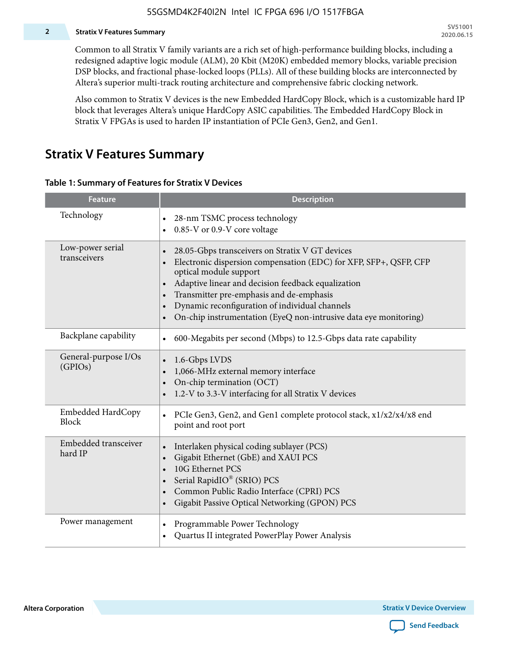#### **2 Stratix V Features Summary**

Common to all Stratix V family variants are a rich set of high-performance building blocks, including a redesigned adaptive logic module (ALM), 20 Kbit (M20K) embedded memory blocks, variable precision DSP blocks, and fractional phase-locked loops (PLLs). All of these building blocks are interconnected by Altera's superior multi-track routing architecture and comprehensive fabric clocking network.

Also common to Stratix V devices is the new Embedded HardCopy Block, which is a customizable hard IP block that leverages Altera's unique HardCopy ASIC capabilities. The Embedded HardCopy Block in Stratix V FPGAs is used to harden IP instantiation of PCIe Gen3, Gen2, and Gen1.

### **Stratix V Features Summary**

#### **Table 1: Summary of Features for Stratix V Devices**

| <b>Feature</b>                    | <b>Description</b>                                                                                                                                                                                                                                                                                                                                                                                                         |
|-----------------------------------|----------------------------------------------------------------------------------------------------------------------------------------------------------------------------------------------------------------------------------------------------------------------------------------------------------------------------------------------------------------------------------------------------------------------------|
| Technology                        | 28-nm TSMC process technology<br>0.85-V or 0.9-V core voltage                                                                                                                                                                                                                                                                                                                                                              |
| Low-power serial<br>transceivers  | 28.05-Gbps transceivers on Stratix V GT devices<br>$\bullet$<br>Electronic dispersion compensation (EDC) for XFP, SFP+, QSFP, CFP<br>optical module support<br>Adaptive linear and decision feedback equalization<br>$\bullet$<br>Transmitter pre-emphasis and de-emphasis<br>Dynamic reconfiguration of individual channels<br>$\bullet$<br>On-chip instrumentation (EyeQ non-intrusive data eye monitoring)<br>$\bullet$ |
| Backplane capability              | 600-Megabits per second (Mbps) to 12.5-Gbps data rate capability<br>$\bullet$                                                                                                                                                                                                                                                                                                                                              |
| General-purpose I/Os<br>(GPIOs)   | 1.6-Gbps LVDS<br>1,066-MHz external memory interface<br>$\bullet$<br>On-chip termination (OCT)<br>$\bullet$<br>1.2-V to 3.3-V interfacing for all Stratix V devices                                                                                                                                                                                                                                                        |
| Embedded HardCopy<br><b>Block</b> | PCIe Gen3, Gen2, and Gen1 complete protocol stack, x1/x2/x4/x8 end<br>$\bullet$<br>point and root port                                                                                                                                                                                                                                                                                                                     |
| Embedded transceiver<br>hard IP   | Interlaken physical coding sublayer (PCS)<br>$\bullet$<br>Gigabit Ethernet (GbE) and XAUI PCS<br>$\bullet$<br>10G Ethernet PCS<br>Serial RapidIO® (SRIO) PCS<br>$\bullet$<br>Common Public Radio Interface (CPRI) PCS<br>$\bullet$<br>Gigabit Passive Optical Networking (GPON) PCS<br>$\bullet$                                                                                                                           |
| Power management                  | Programmable Power Technology<br>$\bullet$<br>Quartus II integrated PowerPlay Power Analysis<br>$\bullet$                                                                                                                                                                                                                                                                                                                  |

**Altera Corporation** 

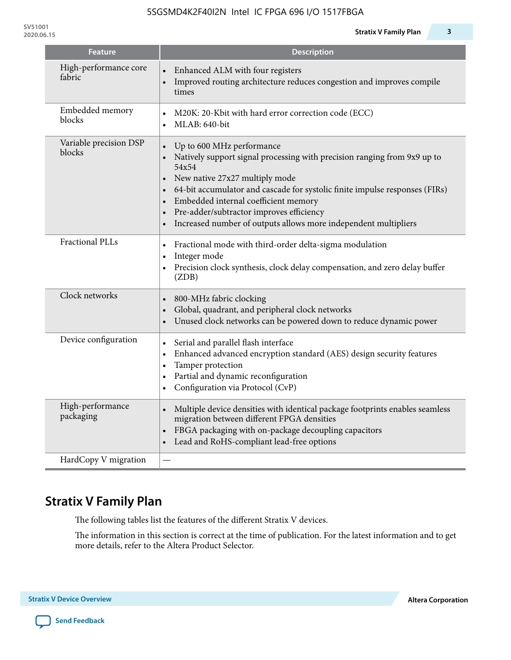| <b>Feature</b>                   | <b>Description</b>                                                                                                                                                                                                                                                                                                                                                                                  |
|----------------------------------|-----------------------------------------------------------------------------------------------------------------------------------------------------------------------------------------------------------------------------------------------------------------------------------------------------------------------------------------------------------------------------------------------------|
| High-performance core<br>fabric  | Enhanced ALM with four registers<br>Improved routing architecture reduces congestion and improves compile<br>times                                                                                                                                                                                                                                                                                  |
| Embedded memory<br>blocks        | M20K: 20-Kbit with hard error correction code (ECC)<br>MLAB: 640-bit<br>$\bullet$                                                                                                                                                                                                                                                                                                                   |
| Variable precision DSP<br>blocks | Up to 600 MHz performance<br>$\bullet$<br>Natively support signal processing with precision ranging from 9x9 up to<br>54x54<br>New native 27x27 multiply mode<br>64-bit accumulator and cascade for systolic finite impulse responses (FIRs)<br>Embedded internal coefficient memory<br>Pre-adder/subtractor improves efficiency<br>Increased number of outputs allows more independent multipliers |
| <b>Fractional PLLs</b>           | Fractional mode with third-order delta-sigma modulation<br>$\bullet$<br>Integer mode<br>$\bullet$<br>Precision clock synthesis, clock delay compensation, and zero delay buffer<br>$\bullet$<br>(ZDB)                                                                                                                                                                                               |
| Clock networks                   | 800-MHz fabric clocking<br>Global, quadrant, and peripheral clock networks<br>Unused clock networks can be powered down to reduce dynamic power                                                                                                                                                                                                                                                     |
| Device configuration             | Serial and parallel flash interface<br>$\bullet$<br>Enhanced advanced encryption standard (AES) design security features<br>$\bullet$<br>Tamper protection<br>$\bullet$<br>Partial and dynamic reconfiguration<br>$\bullet$<br>Configuration via Protocol (CvP)                                                                                                                                     |
| High-performance<br>packaging    | Multiple device densities with identical package footprints enables seamless<br>$\bullet$<br>migration between different FPGA densities<br>FBGA packaging with on-package decoupling capacitors<br>$\bullet$<br>Lead and RoHS-compliant lead-free options                                                                                                                                           |
| HardCopy V migration             |                                                                                                                                                                                                                                                                                                                                                                                                     |

# **Stratix V Family Plan**

The following tables list the features of the different Stratix V devices.

The information in this section is correct at the time of publication. For the latest information and to get more details, refer to the Altera Product Selector.

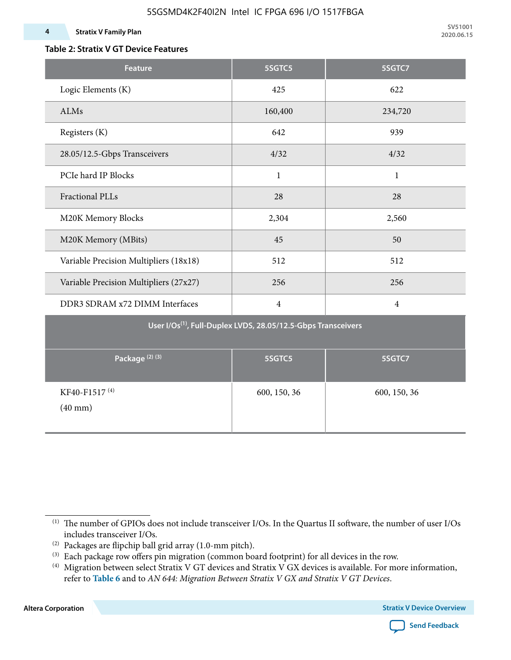#### **4 Stratix V Family Plan**

**SV51001 2020.06.15**

### **Table 2: Stratix V GT Device Features**

| <b>Feature</b>                            | 5SGTC5                                                                    | 5SGTC7         |
|-------------------------------------------|---------------------------------------------------------------------------|----------------|
| Logic Elements (K)                        | 425                                                                       | 622            |
| ALMs                                      | 160,400                                                                   | 234,720        |
| Registers (K)                             | 642                                                                       | 939            |
| 28.05/12.5-Gbps Transceivers              | 4/32                                                                      | 4/32           |
| PCIe hard IP Blocks                       | $\mathbf{1}$                                                              | $\mathbf{1}$   |
| <b>Fractional PLLs</b>                    | 28                                                                        | 28             |
| M20K Memory Blocks                        | 2,304                                                                     | 2,560          |
| M20K Memory (MBits)                       | 45                                                                        | 50             |
| Variable Precision Multipliers (18x18)    | 512                                                                       | 512            |
| Variable Precision Multipliers (27x27)    | 256                                                                       | 256            |
| DDR3 SDRAM x72 DIMM Interfaces            | $\overline{4}$                                                            | $\overline{4}$ |
|                                           | User I/Os <sup>(1)</sup> , Full-Duplex LVDS, 28.05/12.5-Gbps Transceivers |                |
| Package <sup>(2)(3)</sup>                 | 5SGTC5                                                                    | 5SGTC7         |
| KF40-F1517 <sup>(4)</sup><br>$(40$ mm $)$ | 600, 150, 36                                                              | 600, 150, 36   |

**Altera Corporation** 



<sup>(1)</sup> The number of GPIOs does not include transceiver I/Os. In the Quartus II software, the number of user I/Os includes transceiver I/Os.

 $^{(2)}$  Packages are flipchip ball grid array (1.0-mm pitch).

<sup>(3)</sup> Each package row offers pin migration (common board footprint) for all devices in the row.

<sup>(4)</sup> Migration between select Stratix V GT devices and Stratix V GX devices is available. For more information, refer to **Table 6** and to *AN 644: Migration Between Stratix V GX and Stratix V GT Devices*.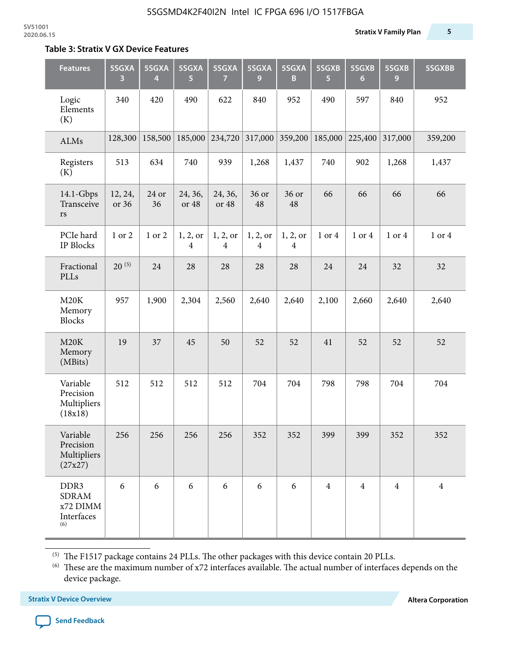#### **Table 3: Stratix V GX Device Features**

| <b>Features</b>                                       | 5SGXA<br>3       | 5SGXA<br>4  | 5SGXA<br>5                 | 5SGXA<br>$\overline{7}$    | 5SGXA<br>9                 | 5SGXA<br>B                 | 5SGXB<br>5     | 5SGXB<br>$6\phantom{1}6$ | 5SGXB<br>9     | 5SGXBB         |
|-------------------------------------------------------|------------------|-------------|----------------------------|----------------------------|----------------------------|----------------------------|----------------|--------------------------|----------------|----------------|
| Logic<br>Elements<br>(K)                              | 340              | 420         | 490                        | 622                        | 840                        | 952                        | 490            | 597                      | 840            | 952            |
| ALMs                                                  | 128,300          | 158,500     | 185,000                    | 234,720                    | 317,000                    | 359,200                    | 185,000        | 225,400                  | 317,000        | 359,200        |
| Registers<br>(K)                                      | 513              | 634         | 740                        | 939                        | 1,268                      | 1,437                      | 740            | 902                      | 1,268          | 1,437          |
| 14.1-Gbps<br>Transceive<br>rs                         | 12, 24,<br>or 36 | 24 or<br>36 | 24, 36,<br>or 48           | 24, 36,<br>or 48           | 36 or<br>48                | 36 or<br>48                | 66             | 66                       | 66             | 66             |
| PCIe hard<br>IP Blocks                                | 1 or 2           | 1 or 2      | 1, 2, or<br>$\overline{4}$ | 1, 2, or<br>$\overline{4}$ | 1, 2, or<br>$\overline{4}$ | 1, 2, or<br>$\overline{4}$ | 1 or 4         | 1 or 4                   | 1 or 4         | 1 or 4         |
| Fractional<br>PLLs                                    | $20^{(5)}$       | 24          | 28                         | 28                         | 28                         | 28                         | 24             | 24                       | 32             | 32             |
| M20K<br>Memory<br><b>Blocks</b>                       | 957              | 1,900       | 2,304                      | 2,560                      | 2,640                      | 2,640                      | 2,100          | 2,660                    | 2,640          | 2,640          |
| M20K<br>Memory<br>(MBits)                             | 19               | 37          | 45                         | 50                         | 52                         | 52                         | 41             | 52                       | 52             | 52             |
| Variable<br>Precision<br>Multipliers<br>(18x18)       | 512              | 512         | 512                        | 512                        | 704                        | 704                        | 798            | 798                      | 704            | 704            |
| Variable<br>Precision<br>Multipliers<br>(27x27)       | 256              | 256         | 256                        | 256                        | 352                        | 352                        | 399            | 399                      | 352            | 352            |
| DDR3<br><b>SDRAM</b><br>x72 DIMM<br>Interfaces<br>(6) | 6                | 6           | 6                          | 6                          | 6                          | 6                          | $\overline{4}$ | $\overline{4}$           | $\overline{4}$ | $\overline{4}$ |

 $^{\left(5\right)}$  The F1517 package contains 24 PLLs. The other packages with this device contain 20 PLLs.

(6) These are the maximum number of x72 interfaces available. The actual number of interfaces depends on the device package.

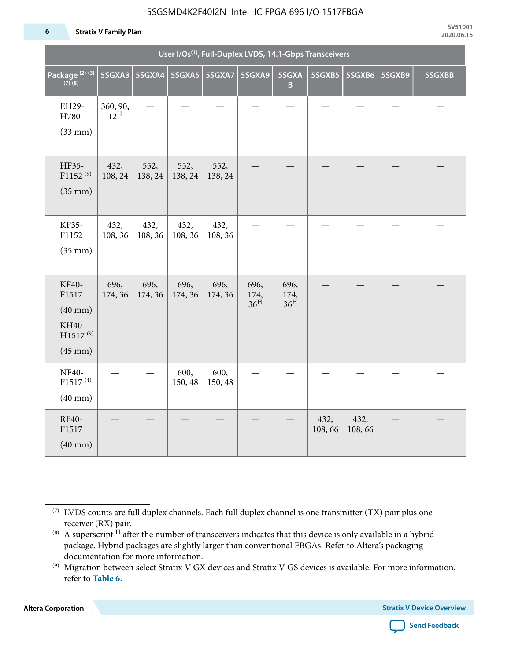#### 5SGSMD4K2F40I2N Intel IC FPGA 696 I/O 1517FBGA

#### **6 Stratix V Family Plan**

|                                                                                 |                             |                 |                 | User I/Os <sup>(1)</sup> , Full-Duplex LVDS, 14.1-Gbps Transceivers |                                 |                                 |                |                |        |        |  |  |  |  |
|---------------------------------------------------------------------------------|-----------------------------|-----------------|-----------------|---------------------------------------------------------------------|---------------------------------|---------------------------------|----------------|----------------|--------|--------|--|--|--|--|
| Package <sup>(2)(3)</sup><br>$(7)$ (8)                                          | 5SGXA3                      |                 | 5SGXA4 5SGXA5   | 5SGXA7                                                              | 5SGXA9                          | 5SGXA<br>B                      | 5SGXB5         | 5SGXB6         | 5SGXB9 | 5SGXBB |  |  |  |  |
| EH29-<br>H780<br>$(33$ mm $)$                                                   | 360, 90,<br>$12^{\text{H}}$ |                 |                 |                                                                     |                                 |                                 |                |                |        |        |  |  |  |  |
| HF35-<br>$F1152^{(9)}$<br>$(35$ mm $)$                                          | 432,<br>108, 24             | 552,<br>138, 24 | 552,<br>138, 24 | 552,<br>138, 24                                                     |                                 |                                 |                |                |        |        |  |  |  |  |
| KF35-<br>F1152<br>$(35$ mm $)$                                                  | 432,<br>108, 36             | 432,<br>108, 36 | 432,<br>108, 36 | 432,<br>108, 36                                                     |                                 |                                 |                |                |        |        |  |  |  |  |
| KF40-<br>F1517<br>$(40$ mm $)$<br>KH40-<br>H1517 <sup>(9)</sup><br>$(45$ mm $)$ | 696,<br>174, 36             | 696,<br>174, 36 | 696,<br>174, 36 | 696,<br>174, 36                                                     | 696,<br>174,<br>36 <sup>H</sup> | 696,<br>174,<br>36 <sup>H</sup> |                |                |        |        |  |  |  |  |
| <b>NF40-</b><br>$F1517^{(4)}$<br>$(40$ mm $)$                                   |                             |                 | 600,<br>150, 48 | 600,<br>150, 48                                                     |                                 |                                 |                |                |        |        |  |  |  |  |
| RF40-<br>F1517<br>$(40$ mm $)$                                                  |                             |                 |                 |                                                                     |                                 |                                 | 432,<br>108,66 | 432,<br>108,66 |        |        |  |  |  |  |

**Altera Corporation** 



<sup>(7)</sup> LVDS counts are full duplex channels. Each full duplex channel is one transmitter (TX) pair plus one receiver (RX) pair.

<sup>(8)</sup> A superscript  $H$  after the number of transceivers indicates that this device is only available in a hybrid package. Hybrid packages are slightly larger than conventional FBGAs. Refer to Altera's packaging documentation for more information.

<sup>(9)</sup> Migration between select Stratix V GX devices and Stratix V GS devices is available. For more information, refer to **Table 6**.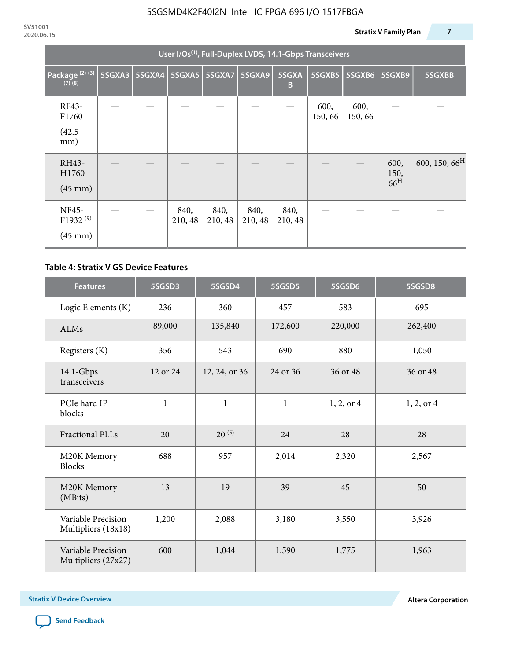|                                           | User I/Os <sup>(1)</sup> , Full-Duplex LVDS, 14.1-Gbps Transceivers |               |                 |                 |                 |                 |                |                |                                 |                           |  |  |  |
|-------------------------------------------|---------------------------------------------------------------------|---------------|-----------------|-----------------|-----------------|-----------------|----------------|----------------|---------------------------------|---------------------------|--|--|--|
| Package <sup>(2)(3)</sup><br>$(7)$ $(8)$  | 5SGXA3                                                              | <b>5SGXA4</b> |                 | 5SGXA5   5SGXA7 | 5SGXA9          | 5SGXA<br>B      | 5SGXB5         | 5SGXB6         | 5SGXB9                          | 5SGXBB                    |  |  |  |
| RF43-<br>F1760<br>(42.5)<br>mm)           |                                                                     |               |                 |                 |                 |                 | 600,<br>150,66 | 600,<br>150,66 |                                 |                           |  |  |  |
| RH43-<br>H1760<br>$(45 \text{ mm})$       |                                                                     |               |                 |                 |                 |                 |                |                | 600,<br>150,<br>66 <sup>H</sup> | 600, 150, 66 <sup>H</sup> |  |  |  |
| NF45-<br>F1932 $(9)$<br>$(45 \text{ mm})$ |                                                                     |               | 840,<br>210, 48 | 840,<br>210, 48 | 840,<br>210, 48 | 840,<br>210, 48 |                |                |                                 |                           |  |  |  |

#### **Table 4: Stratix V GS Device Features**

| <b>Features</b>                           | 5SGSD3         | 5SGSD4        | 5SGSD5       | 5SGSD6     | 5SGSD8         |
|-------------------------------------------|----------------|---------------|--------------|------------|----------------|
| Logic Elements (K)                        | 236            | 360           | 457          | 583        | 695            |
| <b>ALMs</b>                               | 89,000         | 135,840       | 172,600      | 220,000    | 262,400        |
| Registers (K)                             | 356            | 543           | 690          | 880        | 1,050          |
| $14.1$ -Gbps<br>transceivers              | 12 or 24       | 12, 24, or 36 | 24 or 36     | 36 or 48   | 36 or 48       |
| PCIe hard IP<br>blocks                    | $\mathbf 1$    |               | $\mathbf{1}$ | 1, 2, or 4 | $1, 2,$ or $4$ |
| Fractional PLLs                           | 20             | $20^{(5)}$    | 24           | 28         | 28             |
| M20K Memory<br><b>Blocks</b>              | 688            |               | 2,014        | 2,320      | 2,567          |
| M20K Memory<br>(MBits)                    | 13             |               | 39           | 45         | 50             |
| Variable Precision<br>Multipliers (18x18) | 1,200<br>2,088 |               | 3,180        | 3,550      | 3,926          |
| Variable Precision<br>Multipliers (27x27) | 600            | 1,044         | 1,590        | 1,775      | 1,963          |

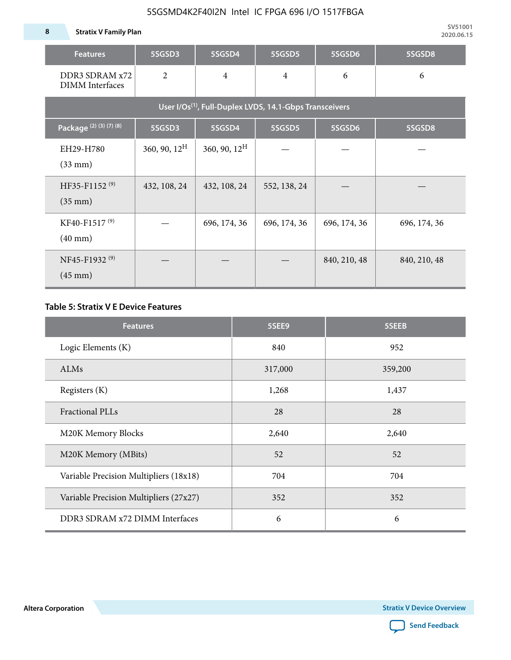**8 Stratix V Family Plan**

| <b>Features</b>                                | 5SGSD3                   | 5SGSD4          | 5SGSD5                                                              | 5SGSD6       | 5SGSD8       |
|------------------------------------------------|--------------------------|-----------------|---------------------------------------------------------------------|--------------|--------------|
| DDR3 SDRAM x72<br><b>DIMM</b> Interfaces       | $\overline{2}$           | $\overline{4}$  | $\overline{4}$                                                      | 6            | 6            |
|                                                |                          |                 | User I/Os <sup>(1)</sup> , Full-Duplex LVDS, 14.1-Gbps Transceivers |              |              |
| Package (2) (3) (7) (8)                        | 5SGSD3                   | 5SGSD4          | 5SGSD5                                                              | 5SGSD6       | 5SGSD8       |
| EH29-H780<br>$(33$ mm $)$                      | $360, 90, 12^{\text{H}}$ | 360, 90, $12^H$ |                                                                     |              |              |
| HF35-F1152 <sup>(9)</sup><br>$(35 \text{ mm})$ | 432, 108, 24             | 432, 108, 24    | 552, 138, 24                                                        |              |              |
| KF40-F1517 <sup>(9)</sup><br>$(40 \text{ mm})$ |                          | 696, 174, 36    | 696, 174, 36                                                        | 696, 174, 36 | 696, 174, 36 |
| NF45-F1932 <sup>(9)</sup><br>$(45 \text{ mm})$ |                          |                 |                                                                     | 840, 210, 48 | 840, 210, 48 |

### **Table 5: Stratix V E Device Features**

| <b>Features</b>                        | 5SEE9   | 5SEEB   |
|----------------------------------------|---------|---------|
| Logic Elements (K)                     | 840     | 952     |
| ALMs                                   | 317,000 | 359,200 |
| Registers (K)                          | 1,268   | 1,437   |
| <b>Fractional PLLs</b>                 | 28      | 28      |
| M20K Memory Blocks                     | 2,640   | 2,640   |
| M20K Memory (MBits)                    | 52      | 52      |
| Variable Precision Multipliers (18x18) | 704     | 704     |
| Variable Precision Multipliers (27x27) | 352     | 352     |
| DDR3 SDRAM x72 DIMM Interfaces         | 6       | 6       |

**Altera Corporation** 

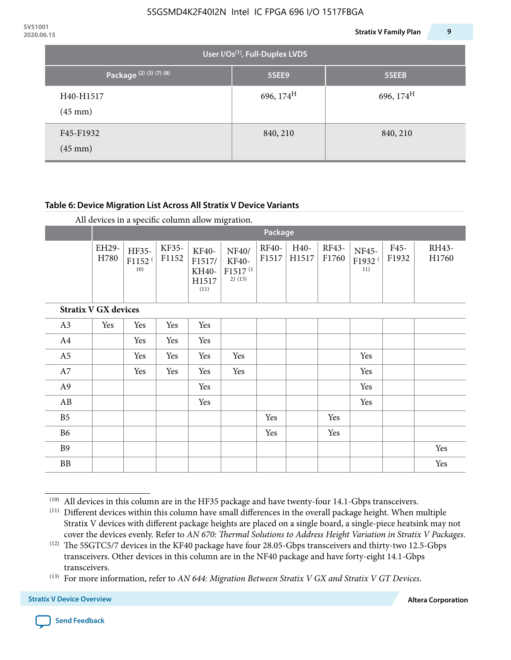| 2020.06.15 |                                |                                             | 9<br><b>Stratix V Family Plan</b> |
|------------|--------------------------------|---------------------------------------------|-----------------------------------|
|            |                                | User I/Os <sup>(1)</sup> , Full-Duplex LVDS |                                   |
|            | Package (2) (3) (7) (8)        | 5SEE9                                       | 5SEEB                             |
|            | H40-H1517<br>$(45 \text{ mm})$ | 696, $174^H$                                | 696, $174^{\text{H}}$             |
|            | F45-F1932<br>$(45 \text{ mm})$ | 840, 210                                    | 840, 210                          |

### **Table 6: Device Migration List Across All Stratix V Device Variants**

| All devices in a specific column allow migration. |  |  |  |
|---------------------------------------------------|--|--|--|
|---------------------------------------------------|--|--|--|

|                             |               | Package                            |                |                                           |                                                           |                |               |                |                                    |               |                |
|-----------------------------|---------------|------------------------------------|----------------|-------------------------------------------|-----------------------------------------------------------|----------------|---------------|----------------|------------------------------------|---------------|----------------|
|                             | EH29-<br>H780 | HF35-<br>F1152 <sup>(</sup><br>10) | KF35-<br>F1152 | KF40-<br>F1517/<br>KH40-<br>H1517<br>(11) | NF40/<br><b>KF40-</b><br>F1517 <sup>(1</sup><br>$2)$ (13) | RF40-<br>F1517 | H40-<br>H1517 | RF43-<br>F1760 | NF45-<br>F1932 <sup>(</sup><br>11) | F45-<br>F1932 | RH43-<br>H1760 |
| <b>Stratix V GX devices</b> |               |                                    |                |                                           |                                                           |                |               |                |                                    |               |                |
| A3                          | Yes           | Yes                                | Yes            | Yes                                       |                                                           |                |               |                |                                    |               |                |
| A4                          |               | Yes                                | Yes            | Yes                                       |                                                           |                |               |                |                                    |               |                |
| A <sub>5</sub>              |               | Yes                                | Yes            | Yes                                       | Yes                                                       |                |               |                | Yes                                |               |                |
| A7                          |               | Yes                                | Yes            | Yes                                       | Yes                                                       |                |               |                | Yes                                |               |                |
| A9                          |               |                                    |                | Yes                                       |                                                           |                |               |                | Yes                                |               |                |
| AB                          |               |                                    |                | Yes                                       |                                                           |                |               |                | Yes                                |               |                |
| B <sub>5</sub>              |               |                                    |                |                                           |                                                           | Yes            |               | Yes            |                                    |               |                |
| B <sub>6</sub>              |               |                                    |                |                                           |                                                           | Yes            |               | Yes            |                                    |               |                |
| <b>B9</b>                   |               |                                    |                |                                           |                                                           |                |               |                |                                    |               | Yes            |
| <b>BB</b>                   |               |                                    |                |                                           |                                                           |                |               |                |                                    |               | Yes            |

 $(10)$  All devices in this column are in the HF35 package and have twenty-four 14.1-Gbps transceivers.



<sup>(11)</sup> Different devices within this column have small differences in the overall package height. When multiple Stratix V devices with different package heights are placed on a single board, a single-piece heatsink may not cover the devices evenly. Refer to *AN 670: Thermal Solutions to Address Height Variation in Stratix V Packages*.

<sup>(12)</sup> The 5SGTC5/7 devices in the KF40 package have four 28.05-Gbps transceivers and thirty-two 12.5-Gbps transceivers. Other devices in this column are in the NF40 package and have forty-eight 14.1-Gbps transceivers.

<sup>(13)</sup> For more information, refer to *AN 644: Migration Between Stratix V GX and Stratix V GT Devices*.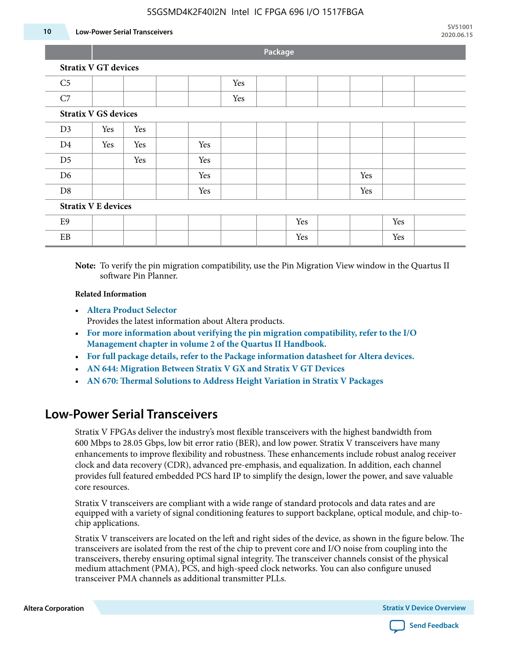#### 5SGSMD4K2F40I2N Intel IC FPGA 696 I/O 1517FBGA

#### **10 Low-Power Serial Transceivers**

**Package**

| <b>Stratix V GT devices</b> |  |  |  |  |  |
|-----------------------------|--|--|--|--|--|
|                             |  |  |  |  |  |

| C <sub>5</sub> |                             |     |  |     | Yes |  |     |  |     |     |  |
|----------------|-----------------------------|-----|--|-----|-----|--|-----|--|-----|-----|--|
| C7             |                             |     |  |     | Yes |  |     |  |     |     |  |
|                | <b>Stratix V GS devices</b> |     |  |     |     |  |     |  |     |     |  |
| D <sub>3</sub> | Yes                         | Yes |  |     |     |  |     |  |     |     |  |
| D <sub>4</sub> | Yes                         | Yes |  | Yes |     |  |     |  |     |     |  |
| D <sub>5</sub> |                             | Yes |  | Yes |     |  |     |  |     |     |  |
| D <sub>6</sub> |                             |     |  | Yes |     |  |     |  | Yes |     |  |
| D <sub>8</sub> |                             |     |  | Yes |     |  |     |  | Yes |     |  |
|                | <b>Stratix V E devices</b>  |     |  |     |     |  |     |  |     |     |  |
| E9             |                             |     |  |     |     |  | Yes |  |     | Yes |  |
| EB             |                             |     |  |     |     |  | Yes |  |     | Yes |  |

**Note:** To verify the pin migration compatibility, use the Pin Migration View window in the Quartus II software Pin Planner.

#### **Related Information**

• **[Altera Product Selector](http://www.altera.com/products/selector/psg-selector.html#)**

Provides the latest information about Altera products.

- **[For more information about verifying the pin migration compatibility, refer to the I/O](http://www.altera.com/literature/hb/qts/qts_qii52013.pdf) [Management chapter in volume 2 of the Quartus II Handbook.](http://www.altera.com/literature/hb/qts/qts_qii52013.pdf)**
- **[For full package details, refer to the Package information datasheet for Altera devices.](http://www.altera.com/support/devices/packaging/specifications/pkg-pin/spe-index.jsp)**
- **[AN 644: Migration Between Stratix V GX and Stratix V GT Devices](http://www.altera.com/literature/an/an644.pdf)**
- **[AN 670: Thermal Solutions to Address Height Variation in Stratix V Packages](http://www.altera.com/literature/an/an670.pdf)**

### **Low-Power Serial Transceivers**

Stratix V FPGAs deliver the industry's most flexible transceivers with the highest bandwidth from 600 Mbps to 28.05 Gbps, low bit error ratio (BER), and low power. Stratix V transceivers have many enhancements to improve flexibility and robustness. These enhancements include robust analog receiver clock and data recovery (CDR), advanced pre-emphasis, and equalization. In addition, each channel provides full featured embedded PCS hard IP to simplify the design, lower the power, and save valuable core resources.

Stratix V transceivers are compliant with a wide range of standard protocols and data rates and are equipped with a variety of signal conditioning features to support backplane, optical module, and chip-tochip applications.

Stratix V transceivers are located on the left and right sides of the device, as shown in the figure below. The transceivers are isolated from the rest of the chip to prevent core and I/O noise from coupling into the transceivers, thereby ensuring optimal signal integrity. The transceiver channels consist of the physical medium attachment (PMA), PCS, and high-speed clock networks. You can also configure unused transceiver PMA channels as additional transmitter PLLs.

**Altera Corporation Stratix V Device Overview**

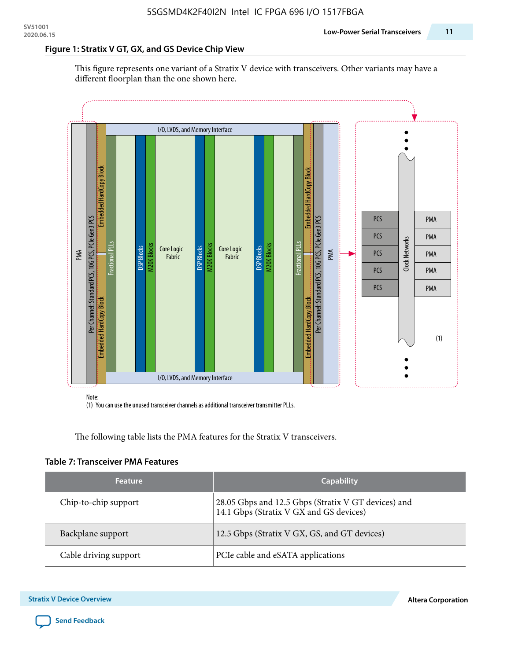#### **Figure 1: Stratix V GT, GX, and GS Device Chip View**

This figure represents one variant of a Stratix V device with transceivers. Other variants may have a different floorplan than the one shown here.



(1) You can use the unused transceiver channels as additional transceiver transmitter PLLs.

The following table lists the PMA features for the Stratix V transceivers.

#### **Table 7: Transceiver PMA Features**

| <b>Feature</b>        | <b>Capability</b>                                                                              |
|-----------------------|------------------------------------------------------------------------------------------------|
| Chip-to-chip support  | 28.05 Gbps and 12.5 Gbps (Stratix V GT devices) and<br>14.1 Gbps (Stratix V GX and GS devices) |
| Backplane support     | 12.5 Gbps (Stratix V GX, GS, and GT devices)                                                   |
| Cable driving support | PCIe cable and eSATA applications                                                              |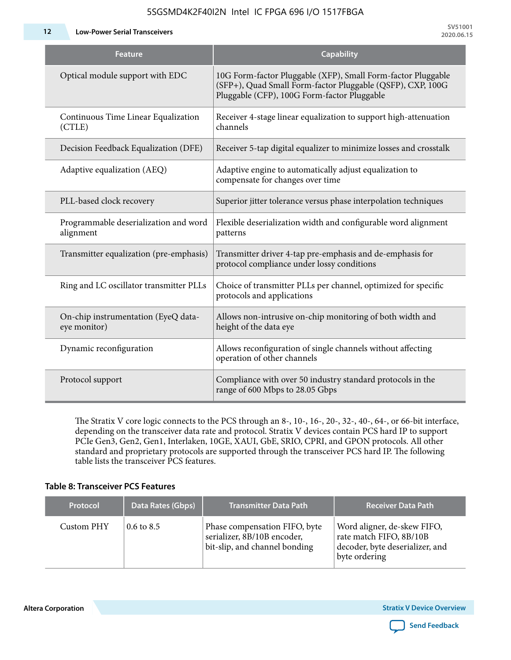5SGSMD4K2F40I2N Intel IC FPGA 696 I/O 1517FBGA

**12 Low-Power Serial Transceivers**

| <b>Feature</b>                                      | <b>Capability</b>                                                                                                                                                         |
|-----------------------------------------------------|---------------------------------------------------------------------------------------------------------------------------------------------------------------------------|
| Optical module support with EDC                     | 10G Form-factor Pluggable (XFP), Small Form-factor Pluggable<br>(SFP+), Quad Small Form-factor Pluggable (QSFP), CXP, 100G<br>Pluggable (CFP), 100G Form-factor Pluggable |
| Continuous Time Linear Equalization<br>(CTLE)       | Receiver 4-stage linear equalization to support high-attenuation<br>channels                                                                                              |
| Decision Feedback Equalization (DFE)                | Receiver 5-tap digital equalizer to minimize losses and crosstalk                                                                                                         |
| Adaptive equalization (AEQ)                         | Adaptive engine to automatically adjust equalization to<br>compensate for changes over time                                                                               |
| PLL-based clock recovery                            | Superior jitter tolerance versus phase interpolation techniques                                                                                                           |
| Programmable deserialization and word<br>alignment  | Flexible deserialization width and configurable word alignment<br>patterns                                                                                                |
| Transmitter equalization (pre-emphasis)             | Transmitter driver 4-tap pre-emphasis and de-emphasis for<br>protocol compliance under lossy conditions                                                                   |
| Ring and LC oscillator transmitter PLLs             | Choice of transmitter PLLs per channel, optimized for specific<br>protocols and applications                                                                              |
| On-chip instrumentation (EyeQ data-<br>eye monitor) | Allows non-intrusive on-chip monitoring of both width and<br>height of the data eye                                                                                       |
| Dynamic reconfiguration                             | Allows reconfiguration of single channels without affecting<br>operation of other channels                                                                                |
| Protocol support                                    | Compliance with over 50 industry standard protocols in the<br>range of 600 Mbps to 28.05 Gbps                                                                             |

The Stratix V core logic connects to the PCS through an 8-, 10-, 16-, 20-, 32-, 40-, 64-, or 66-bit interface, depending on the transceiver data rate and protocol. Stratix V devices contain PCS hard IP to support PCIe Gen3, Gen2, Gen1, Interlaken, 10GE, XAUI, GbE, SRIO, CPRI, and GPON protocols. All other standard and proprietary protocols are supported through the transceiver PCS hard IP. The following table lists the transceiver PCS features.

#### **Table 8: Transceiver PCS Features**

| <b>Protocol</b> | Data Rates (Gbps)     | <b>Transmitter Data Path</b>                                                                  | <b>Receiver Data Path</b>                                                                                  |  |
|-----------------|-----------------------|-----------------------------------------------------------------------------------------------|------------------------------------------------------------------------------------------------------------|--|
| Custom PHY      | $0.6 \text{ to } 8.5$ | Phase compensation FIFO, byte<br>serializer, 8B/10B encoder,<br>bit-slip, and channel bonding | Word aligner, de-skew FIFO,<br>rate match FIFO, 8B/10B<br>decoder, byte deserializer, and<br>byte ordering |  |

**Altera Corporation** 

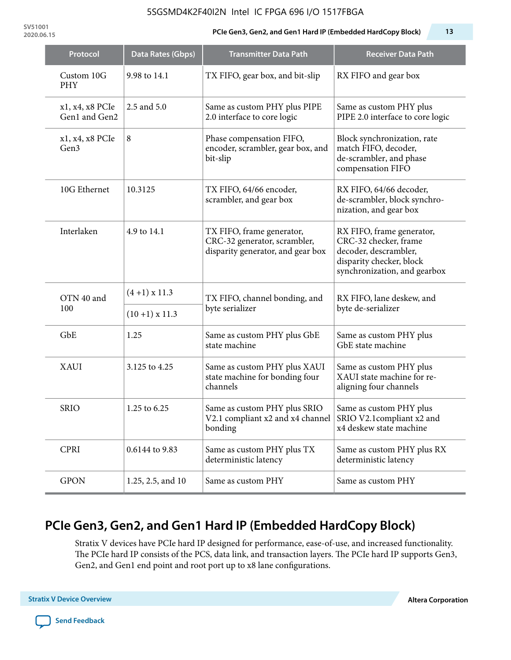#### 5SGSMD4K2F40I2N Intel IC FPGA 696 I/O 1517FBGA

**SV51001**

#### **2020.06.15 PCIe Gen3, Gen2, and Gen1 Hard IP (Embedded HardCopy Block) 13**

| Protocol                         | <b>Data Rates (Gbps)</b> | <b>Transmitter Data Path</b>                                                                           | <b>Receiver Data Path</b>                                                                                                               |
|----------------------------------|--------------------------|--------------------------------------------------------------------------------------------------------|-----------------------------------------------------------------------------------------------------------------------------------------|
| Custom 10G<br><b>PHY</b>         | 9.98 to 14.1             | TX FIFO, gear box, and bit-slip                                                                        | RX FIFO and gear box                                                                                                                    |
| x1, x4, x8 PCIe<br>Gen1 and Gen2 | 2.5 and 5.0              | Same as custom PHY plus PIPE<br>2.0 interface to core logic                                            | Same as custom PHY plus<br>PIPE 2.0 interface to core logic                                                                             |
| x1, x4, x8 PCIe<br>Gen3          | 8                        | Phase compensation FIFO,<br>encoder, scrambler, gear box, and<br>bit-slip                              | Block synchronization, rate<br>match FIFO, decoder,<br>de-scrambler, and phase<br>compensation FIFO                                     |
| 10G Ethernet                     | 10.3125                  | TX FIFO, 64/66 encoder,<br>scrambler, and gear box                                                     | RX FIFO, 64/66 decoder,<br>de-scrambler, block synchro-<br>nization, and gear box                                                       |
| Interlaken                       | 4.9 to 14.1              | TX FIFO, frame generator,<br>CRC-32 generator, scrambler,<br>disparity generator, and gear box         | RX FIFO, frame generator,<br>CRC-32 checker, frame<br>decoder, descrambler,<br>disparity checker, block<br>synchronization, and gearbox |
| OTN 40 and                       | $(4+1)$ x 11.3           | TX FIFO, channel bonding, and                                                                          | RX FIFO, lane deskew, and                                                                                                               |
| 100                              | $(10+1)$ x 11.3          | byte serializer                                                                                        | byte de-serializer                                                                                                                      |
| GbE                              | 1.25                     | Same as custom PHY plus GbE<br>state machine                                                           | Same as custom PHY plus<br>GbE state machine                                                                                            |
| <b>XAUI</b>                      | 3.125 to 4.25            | Same as custom PHY plus XAUI<br>state machine for bonding four<br>channels                             | Same as custom PHY plus<br>XAUI state machine for re-<br>aligning four channels                                                         |
| <b>SRIO</b>                      | 1.25 to 6.25             | Same as custom PHY plus SRIO<br>V2.1 compliant x2 and x4 channel SRIO V2.1 compliant x2 and<br>bonding | Same as custom PHY plus<br>x4 deskew state machine                                                                                      |
| <b>CPRI</b>                      | 0.6144 to 9.83           | Same as custom PHY plus TX<br>deterministic latency                                                    | Same as custom PHY plus RX<br>deterministic latency                                                                                     |
| <b>GPON</b>                      | 1.25, 2.5, and 10        | Same as custom PHY                                                                                     | Same as custom PHY                                                                                                                      |

# **PCIe Gen3, Gen2, and Gen1 Hard IP (Embedded HardCopy Block)**

Stratix V devices have PCIe hard IP designed for performance, ease-of-use, and increased functionality. The PCIe hard IP consists of the PCS, data link, and transaction layers. The PCIe hard IP supports Gen3, Gen2, and Gen1 end point and root port up to x8 lane configurations.

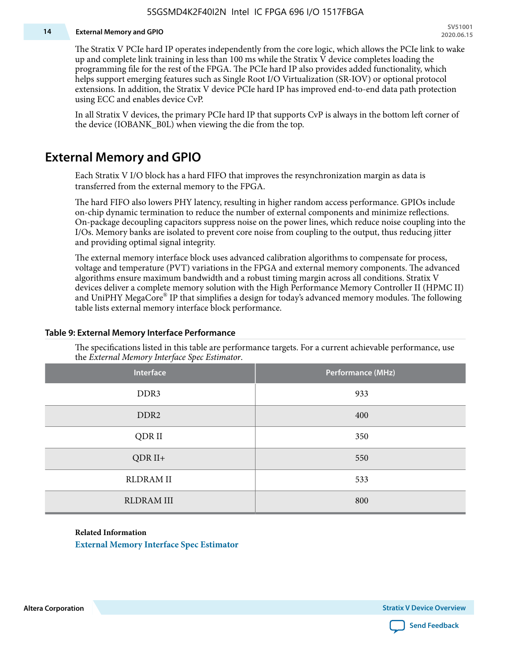#### **14 External Memory and GPIO**

The Stratix V PCIe hard IP operates independently from the core logic, which allows the PCIe link to wake up and complete link training in less than 100 ms while the Stratix V device completes loading the programming file for the rest of the FPGA. The PCIe hard IP also provides added functionality, which helps support emerging features such as Single Root I/O Virtualization (SR-IOV) or optional protocol extensions. In addition, the Stratix V device PCIe hard IP has improved end-to-end data path protection using ECC and enables device CvP.

In all Stratix V devices, the primary PCIe hard IP that supports CvP is always in the bottom left corner of the device (IOBANK\_B0L) when viewing the die from the top.

### **External Memory and GPIO**

Each Stratix V I/O block has a hard FIFO that improves the resynchronization margin as data is transferred from the external memory to the FPGA.

The hard FIFO also lowers PHY latency, resulting in higher random access performance. GPIOs include on-chip dynamic termination to reduce the number of external components and minimize reflections. On-package decoupling capacitors suppress noise on the power lines, which reduce noise coupling into the I/Os. Memory banks are isolated to prevent core noise from coupling to the output, thus reducing jitter and providing optimal signal integrity.

The external memory interface block uses advanced calibration algorithms to compensate for process, voltage and temperature (PVT) variations in the FPGA and external memory components. The advanced algorithms ensure maximum bandwidth and a robust timing margin across all conditions. Stratix V devices deliver a complete memory solution with the High Performance Memory Controller II (HPMC II) and UniPHY MegaCore® IP that simplifies a design for today's advanced memory modules. The following table lists external memory interface block performance.

| Interface         | Performance (MHz) |
|-------------------|-------------------|
| DDR3              | 933               |
| DDR <sub>2</sub>  | 400               |
| QDR II            | 350               |
| $QDR II+$         | 550               |
| <b>RLDRAM II</b>  | 533               |
| <b>RLDRAM III</b> | 800               |

#### **Table 9: External Memory Interface Performance**

The specifications listed in this table are performance targets. For a current achievable performance, use the *External Memory Interface Spec Estimator*.

#### **Related Information**

**[External Memory Interface Spec Estimator](http://www.altera.com/technology/memory/estimator/mem-emif-index.html)**

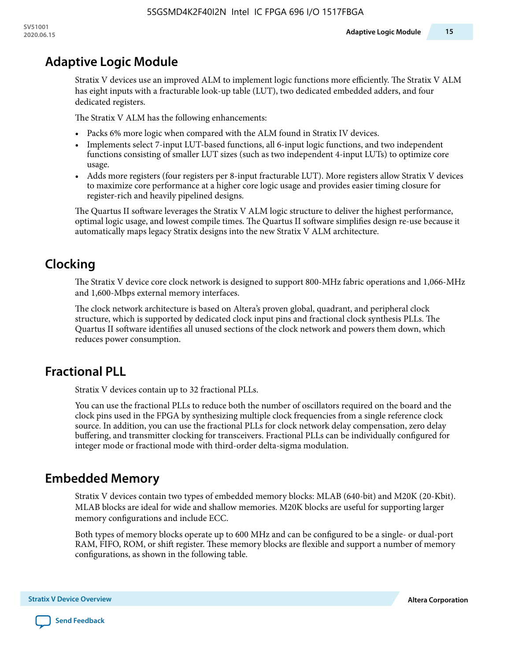# **Adaptive Logic Module**

Stratix V devices use an improved ALM to implement logic functions more efficiently. The Stratix V ALM has eight inputs with a fracturable look-up table (LUT), two dedicated embedded adders, and four dedicated registers.

The Stratix V ALM has the following enhancements:

- Packs 6% more logic when compared with the ALM found in Stratix IV devices.
- Implements select 7-input LUT-based functions, all 6-input logic functions, and two independent functions consisting of smaller LUT sizes (such as two independent 4-input LUTs) to optimize core usage.
- Adds more registers (four registers per 8-input fracturable LUT). More registers allow Stratix V devices to maximize core performance at a higher core logic usage and provides easier timing closure for register-rich and heavily pipelined designs.

The Quartus II software leverages the Stratix V ALM logic structure to deliver the highest performance, optimal logic usage, and lowest compile times. The Quartus II software simplifies design re-use because it automatically maps legacy Stratix designs into the new Stratix V ALM architecture.

# **Clocking**

The Stratix V device core clock network is designed to support 800-MHz fabric operations and 1,066-MHz and 1,600-Mbps external memory interfaces.

The clock network architecture is based on Altera's proven global, quadrant, and peripheral clock structure, which is supported by dedicated clock input pins and fractional clock synthesis PLLs. The Quartus II software identifies all unused sections of the clock network and powers them down, which reduces power consumption.

# **Fractional PLL**

Stratix V devices contain up to 32 fractional PLLs.

You can use the fractional PLLs to reduce both the number of oscillators required on the board and the clock pins used in the FPGA by synthesizing multiple clock frequencies from a single reference clock source. In addition, you can use the fractional PLLs for clock network delay compensation, zero delay buffering, and transmitter clocking for transceivers. Fractional PLLs can be individually configured for integer mode or fractional mode with third-order delta-sigma modulation.

# **Embedded Memory**

Stratix V devices contain two types of embedded memory blocks: MLAB (640-bit) and M20K (20-Kbit). MLAB blocks are ideal for wide and shallow memories. M20K blocks are useful for supporting larger memory configurations and include ECC.

Both types of memory blocks operate up to 600 MHz and can be configured to be a single- or dual-port RAM, FIFO, ROM, or shift register. These memory blocks are flexible and support a number of memory configurations, as shown in the following table.

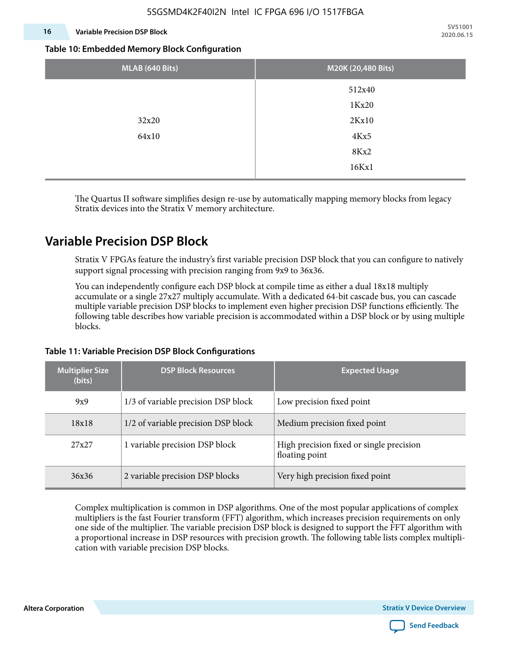#### **16 Variable Precision DSP Block**

**SV51001 2020.06.15**

#### **Table 10: Embedded Memory Block Configuration**

| MLAB (640 Bits) | M20K (20,480 Bits) |
|-----------------|--------------------|
|                 | 512x40             |
|                 | 1Kx20              |
| 32x20           | 2Kx10              |
| 64x10           | 4Kx5               |
|                 | 8Kx2               |
|                 | 16Kx1              |

The Quartus II software simplifies design re-use by automatically mapping memory blocks from legacy Stratix devices into the Stratix V memory architecture.

### **Variable Precision DSP Block**

Stratix V FPGAs feature the industry's first variable precision DSP block that you can configure to natively support signal processing with precision ranging from 9x9 to 36x36.

You can independently configure each DSP block at compile time as either a dual 18x18 multiply accumulate or a single 27x27 multiply accumulate. With a dedicated 64-bit cascade bus, you can cascade multiple variable precision DSP blocks to implement even higher precision DSP functions efficiently. The following table describes how variable precision is accommodated within a DSP block or by using multiple blocks.

# **Multiplier Size (bits) DSP Block Resources Expected Usage** 9x9 1/3 of variable precision DSP block Low precision fixed point  $18x18$  1/2 of variable precision DSP block 14 Medium precision fixed point 27x27 1 variable precision DSP block High precision fixed or single precision floating point 36x36 2 variable precision DSP blocks Very high precision fixed point

#### **Table 11: Variable Precision DSP Block Configurations**

Complex multiplication is common in DSP algorithms. One of the most popular applications of complex multipliers is the fast Fourier transform (FFT) algorithm, which increases precision requirements on only one side of the multiplier. The variable precision DSP block is designed to support the FFT algorithm with a proportional increase in DSP resources with precision growth. The following table lists complex multipli‐ cation with variable precision DSP blocks.

**Altera Corporation Stratix V Device Overview**

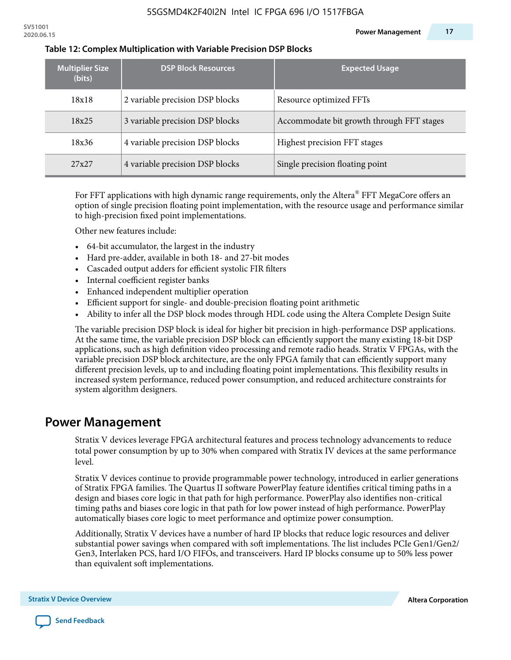| <b>Multiplier Size</b><br>(bits) | <b>DSP Block Resources</b>      | <b>Expected Usage</b>                     |
|----------------------------------|---------------------------------|-------------------------------------------|
| 18x18                            | 2 variable precision DSP blocks | Resource optimized FFTs                   |
| 18x25                            | 3 variable precision DSP blocks | Accommodate bit growth through FFT stages |
| 18x36                            | 4 variable precision DSP blocks | Highest precision FFT stages              |
| 27x27                            | 4 variable precision DSP blocks | Single precision floating point           |

#### **Table 12: Complex Multiplication with Variable Precision DSP Blocks**

For FFT applications with high dynamic range requirements, only the Altera $^\circ$  FFT MegaCore offers an option of single precision floating point implementation, with the resource usage and performance similar to high-precision fixed point implementations.

Other new features include:

- 64-bit accumulator, the largest in the industry
- Hard pre-adder, available in both 18- and 27-bit modes
- Cascaded output adders for efficient systolic FIR filters
- Internal coefficient register banks
- Enhanced independent multiplier operation
- Efficient support for single- and double-precision floating point arithmetic
- Ability to infer all the DSP block modes through HDL code using the Altera Complete Design Suite

The variable precision DSP block is ideal for higher bit precision in high-performance DSP applications. At the same time, the variable precision DSP block can efficiently support the many existing 18-bit DSP applications, such as high definition video processing and remote radio heads. Stratix V FPGAs, with the variable precision DSP block architecture, are the only FPGA family that can efficiently support many different precision levels, up to and including floating point implementations. This flexibility results in increased system performance, reduced power consumption, and reduced architecture constraints for system algorithm designers.

### **Power Management**

Stratix V devices leverage FPGA architectural features and process technology advancements to reduce total power consumption by up to 30% when compared with Stratix IV devices at the same performance level.

Stratix V devices continue to provide programmable power technology, introduced in earlier generations of Stratix FPGA families. The Quartus II software PowerPlay feature identifies critical timing paths in a design and biases core logic in that path for high performance. PowerPlay also identifies non-critical timing paths and biases core logic in that path for low power instead of high performance. PowerPlay automatically biases core logic to meet performance and optimize power consumption.

Additionally, Stratix V devices have a number of hard IP blocks that reduce logic resources and deliver substantial power savings when compared with soft implementations. The list includes PCIe Gen1/Gen2/ Gen3, Interlaken PCS, hard I/O FIFOs, and transceivers. Hard IP blocks consume up to 50% less power than equivalent soft implementations.

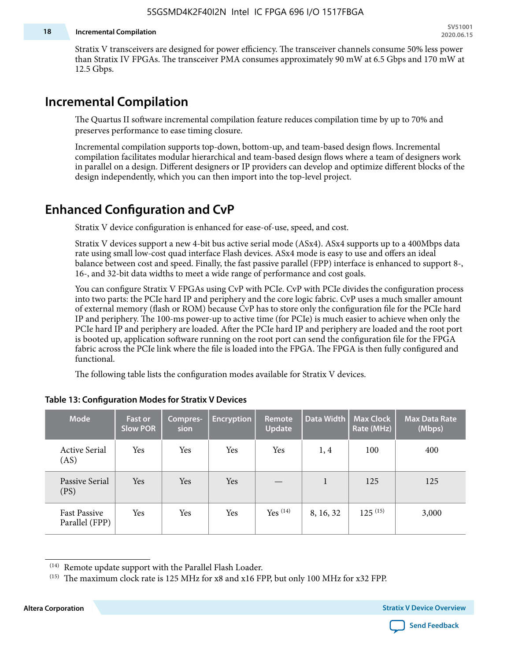#### **18 Incremental Compilation**

Stratix V transceivers are designed for power efficiency. The transceiver channels consume 50% less power than Stratix IV FPGAs. The transceiver PMA consumes approximately 90 mW at 6.5 Gbps and 170 mW at 12.5 Gbps.

### **Incremental Compilation**

The Quartus II software incremental compilation feature reduces compilation time by up to 70% and preserves performance to ease timing closure.

Incremental compilation supports top-down, bottom-up, and team-based design flows. Incremental compilation facilitates modular hierarchical and team-based design flows where a team of designers work in parallel on a design. Different designers or IP providers can develop and optimize different blocks of the design independently, which you can then import into the top-level project.

# **Enhanced Configuration and CvP**

Stratix V device configuration is enhanced for ease-of-use, speed, and cost.

Stratix V devices support a new 4-bit bus active serial mode (ASx4). ASx4 supports up to a 400Mbps data rate using small low-cost quad interface Flash devices. ASx4 mode is easy to use and offers an ideal balance between cost and speed. Finally, the fast passive parallel (FPP) interface is enhanced to support 8-, 16-, and 32-bit data widths to meet a wide range of performance and cost goals.

You can configure Stratix V FPGAs using CvP with PCIe. CvP with PCIe divides the configuration process into two parts: the PCIe hard IP and periphery and the core logic fabric. CvP uses a much smaller amount of external memory (flash or ROM) because CvP has to store only the configuration file for the PCIe hard IP and periphery. The 100-ms power-up to active time (for PCIe) is much easier to achieve when only the PCIe hard IP and periphery are loaded. After the PCIe hard IP and periphery are loaded and the root port is booted up, application software running on the root port can send the configuration file for the FPGA fabric across the PCIe link where the file is loaded into the FPGA. The FPGA is then fully configured and functional.

The following table lists the configuration modes available for Stratix V devices.

| <b>Mode</b>                           | <b>Fast or</b><br><b>Slow POR</b> | Compres-<br>sion | <b>Encryption</b> | Remote<br><b>Update</b> | Data Width | <b>Max Clock</b><br>Rate (MHz) | <b>Max Data Rate</b><br>(Mbps) |
|---------------------------------------|-----------------------------------|------------------|-------------------|-------------------------|------------|--------------------------------|--------------------------------|
| <b>Active Serial</b><br>(AS)          | Yes                               | Yes              | Yes               | Yes                     | 1, 4       | 100                            | 400                            |
| Passive Serial<br>(PS)                | Yes                               | Yes              | Yes               |                         | 1          | 125                            | 125                            |
| <b>Fast Passive</b><br>Parallel (FPP) | Yes                               | Yes              | Yes               | $Yes$ $(14)$            | 8, 16, 32  | $125^{(15)}$                   | 3,000                          |

#### **Table 13: Configuration Modes for Stratix V Devices**

**Altera Corporation Stratix V Device Overview**



<sup>(14)</sup> Remote update support with the Parallel Flash Loader.

<sup>&</sup>lt;sup>(15)</sup> The maximum clock rate is 125 MHz for x8 and x16 FPP, but only 100 MHz for x32 FPP.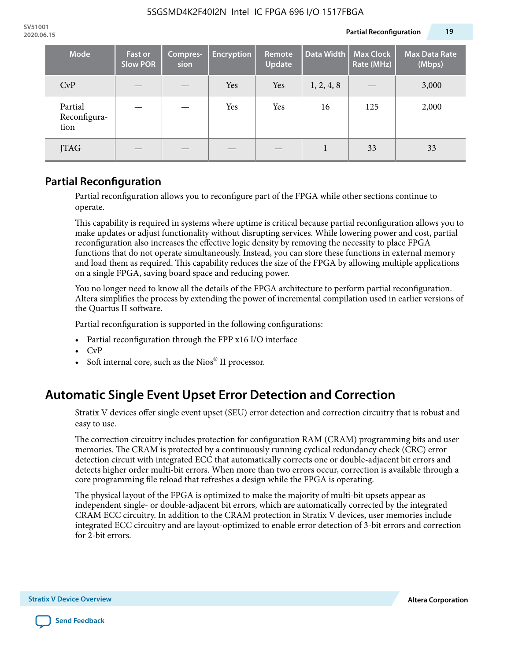| <b>Mode</b>                     | <b>Fast or</b><br><b>Slow POR</b> | Compres-<br>sion | <b>Encryption</b> | Remote<br><b>Update</b> | Data Width | <b>Max Clock</b><br>Rate (MHz) | <b>Max Data Rate</b><br>(Mbps) |
|---------------------------------|-----------------------------------|------------------|-------------------|-------------------------|------------|--------------------------------|--------------------------------|
| CvP                             |                                   |                  | Yes               | Yes                     | 1, 2, 4, 8 |                                | 3,000                          |
| Partial<br>Reconfigura-<br>tion |                                   |                  | Yes               | Yes                     | 16         | 125                            | 2,000                          |
| <b>JTAG</b>                     |                                   |                  |                   |                         |            | 33                             | 33                             |

### **Partial Reconfiguration**

Partial reconfiguration allows you to reconfigure part of the FPGA while other sections continue to operate.

This capability is required in systems where uptime is critical because partial reconfiguration allows you to make updates or adjust functionality without disrupting services. While lowering power and cost, partial reconfiguration also increases the effective logic density by removing the necessity to place FPGA functions that do not operate simultaneously. Instead, you can store these functions in external memory and load them as required. This capability reduces the size of the FPGA by allowing multiple applications on a single FPGA, saving board space and reducing power.

You no longer need to know all the details of the FPGA architecture to perform partial reconfiguration. Altera simplifies the process by extending the power of incremental compilation used in earlier versions of the Quartus II software.

Partial reconfiguration is supported in the following configurations:

- Partial reconfiguration through the FPP x16 I/O interface
- CvP
- Soft internal core, such as the Nios® II processor.

# **Automatic Single Event Upset Error Detection and Correction**

Stratix V devices offer single event upset (SEU) error detection and correction circuitry that is robust and easy to use.

The correction circuitry includes protection for configuration RAM (CRAM) programming bits and user memories. The CRAM is protected by a continuously running cyclical redundancy check (CRC) error detection circuit with integrated ECC that automatically corrects one or double-adjacent bit errors and detects higher order multi-bit errors. When more than two errors occur, correction is available through a core programming file reload that refreshes a design while the FPGA is operating.

The physical layout of the FPGA is optimized to make the majority of multi-bit upsets appear as independent single- or double-adjacent bit errors, which are automatically corrected by the integrated CRAM ECC circuitry. In addition to the CRAM protection in Stratix V devices, user memories include integrated ECC circuitry and are layout-optimized to enable error detection of 3-bit errors and correction for 2-bit errors.

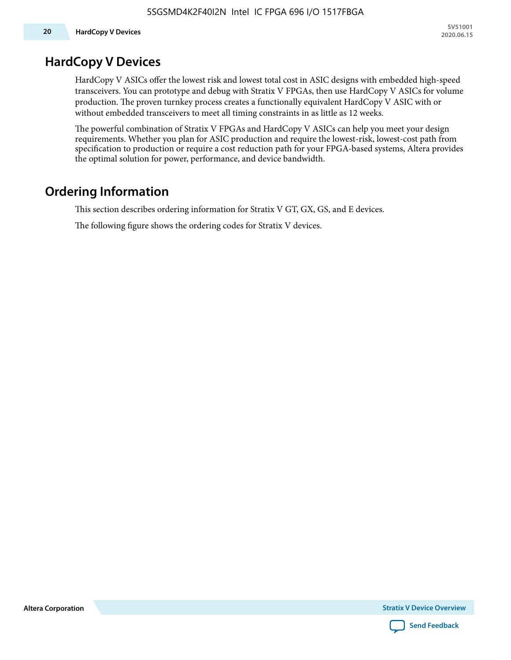### **HardCopy V Devices**

HardCopy V ASICs offer the lowest risk and lowest total cost in ASIC designs with embedded high-speed transceivers. You can prototype and debug with Stratix V FPGAs, then use HardCopy V ASICs for volume production. The proven turnkey process creates a functionally equivalent HardCopy V ASIC with or without embedded transceivers to meet all timing constraints in as little as 12 weeks.

The powerful combination of Stratix V FPGAs and HardCopy V ASICs can help you meet your design requirements. Whether you plan for ASIC production and require the lowest-risk, lowest-cost path from specification to production or require a cost reduction path for your FPGA-based systems, Altera provides the optimal solution for power, performance, and device bandwidth.

### **Ordering Information**

This section describes ordering information for Stratix V GT, GX, GS, and E devices.

The following figure shows the ordering codes for Stratix V devices.

**Altera Corporation** 

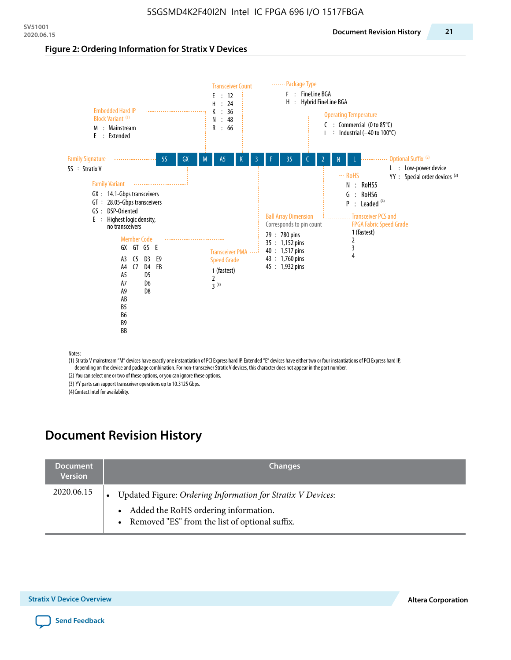#### **Figure 2: Ordering Information for Stratix V Devices**



(1) Stratix V mainstream "M" devices have exactly one instantiation of PCI Express hard IP. Extended "E" devices have either two or four instantiations of PCI Express hard IP, depending on the device and package combination. For non-transceiver Stratix V devices, this character does not appear in the part number.

(2) You can select one or two of these options, or you can ignore these options.

(3) YY parts can support transceiver operations up to 10.3125 Gbps.

(4) Contact Intel for availability.

# **Document Revision History**

| <b>Document</b><br><b>Version</b> | <b>Changes</b>                                                                                                                                            |
|-----------------------------------|-----------------------------------------------------------------------------------------------------------------------------------------------------------|
| 2020.06.15                        | Updated Figure: Ordering Information for Stratix V Devices:<br>• Added the RoHS ordering information.<br>• Removed "ES" from the list of optional suffix. |

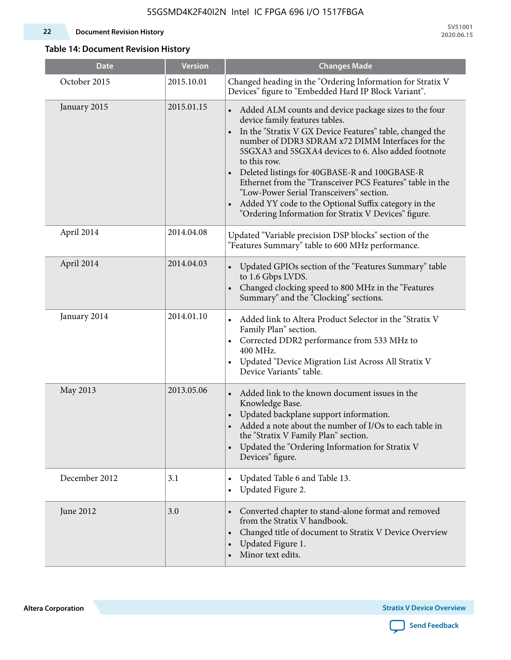#### **22 Document Revision History**

**SV51001 2020.06.15**

### **Table 14: Document Revision History**

| <b>Date</b>   | <b>Version</b> | <b>Changes Made</b>                                                                                                                                                                                                                                                                                                                                                                                                                                                                                                                                                                |
|---------------|----------------|------------------------------------------------------------------------------------------------------------------------------------------------------------------------------------------------------------------------------------------------------------------------------------------------------------------------------------------------------------------------------------------------------------------------------------------------------------------------------------------------------------------------------------------------------------------------------------|
| October 2015  | 2015.10.01     | Changed heading in the "Ordering Information for Stratix V<br>Devices" figure to "Embedded Hard IP Block Variant".                                                                                                                                                                                                                                                                                                                                                                                                                                                                 |
| January 2015  | 2015.01.15     | Added ALM counts and device package sizes to the four<br>device family features tables.<br>In the "Stratix V GX Device Features" table, changed the<br>$\bullet$<br>number of DDR3 SDRAM x72 DIMM Interfaces for the<br>5SGXA3 and 5SGXA4 devices to 6. Also added footnote<br>to this row.<br>Deleted listings for 40GBASE-R and 100GBASE-R<br>Ethernet from the "Transceiver PCS Features" table in the<br>"Low-Power Serial Transceivers" section.<br>Added YY code to the Optional Suffix category in the<br>$\bullet$<br>"Ordering Information for Stratix V Devices" figure. |
| April 2014    | 2014.04.08     | Updated "Variable precision DSP blocks" section of the<br>"Features Summary" table to 600 MHz performance.                                                                                                                                                                                                                                                                                                                                                                                                                                                                         |
| April 2014    | 2014.04.03     | Updated GPIOs section of the "Features Summary" table<br>to 1.6 Gbps LVDS.<br>Changed clocking speed to 800 MHz in the "Features<br>Summary" and the "Clocking" sections.                                                                                                                                                                                                                                                                                                                                                                                                          |
| January 2014  | 2014.01.10     | Added link to Altera Product Selector in the "Stratix V<br>Family Plan" section.<br>• Corrected DDR2 performance from 533 MHz to<br>400 MHz.<br>Updated "Device Migration List Across All Stratix V<br>Device Variants" table.                                                                                                                                                                                                                                                                                                                                                     |
| May 2013      | 2013.05.06     | Added link to the known document issues in the<br>Knowledge Base.<br>Updated backplane support information.<br>$\bullet$<br>Added a note about the number of I/Os to each table in<br>the "Stratix V Family Plan" section.<br>Updated the "Ordering Information for Stratix V<br>$\bullet$<br>Devices" figure.                                                                                                                                                                                                                                                                     |
| December 2012 | 3.1            | Updated Table 6 and Table 13.<br>$\bullet$<br>Updated Figure 2.<br>$\bullet$                                                                                                                                                                                                                                                                                                                                                                                                                                                                                                       |
| June 2012     | 3.0            | Converted chapter to stand-alone format and removed<br>$\bullet$<br>from the Stratix V handbook.<br>Changed title of document to Stratix V Device Overview<br>$\bullet$<br>Updated Figure 1.<br>$\bullet$<br>Minor text edits.                                                                                                                                                                                                                                                                                                                                                     |

**Altera Corporation** 

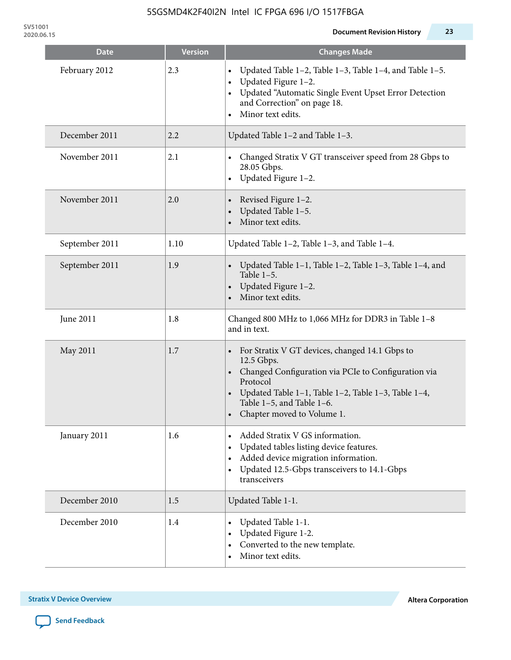**SV51001**

| <b>Date</b>    | <b>Version</b> | <b>Changes Made</b>                                                                                                                                                                                                                                   |
|----------------|----------------|-------------------------------------------------------------------------------------------------------------------------------------------------------------------------------------------------------------------------------------------------------|
| February 2012  | 2.3            | Updated Table 1-2, Table 1-3, Table 1-4, and Table 1-5.<br>Updated Figure 1-2.<br>Updated "Automatic Single Event Upset Error Detection<br>and Correction" on page 18.<br>Minor text edits.<br>$\bullet$                                              |
| December 2011  | 2.2            | Updated Table 1-2 and Table 1-3.                                                                                                                                                                                                                      |
| November 2011  | 2.1            | Changed Stratix V GT transceiver speed from 28 Gbps to<br>28.05 Gbps.<br>Updated Figure 1-2.                                                                                                                                                          |
| November 2011  | 2.0            | Revised Figure 1-2.<br>Updated Table 1-5.<br>Minor text edits.                                                                                                                                                                                        |
| September 2011 | 1.10           | Updated Table 1-2, Table 1-3, and Table 1-4.                                                                                                                                                                                                          |
| September 2011 | 1.9            | Updated Table 1-1, Table 1-2, Table 1-3, Table 1-4, and<br>Table $1-5$ .<br>Updated Figure 1-2.<br>Minor text edits.                                                                                                                                  |
| June 2011      | 1.8            | Changed 800 MHz to 1,066 MHz for DDR3 in Table 1-8<br>and in text.                                                                                                                                                                                    |
| May 2011       | 1.7            | For Stratix V GT devices, changed 14.1 Gbps to<br>12.5 Gbps.<br>• Changed Configuration via PCIe to Configuration via<br>Protocol<br>Updated Table 1–1, Table 1–2, Table 1–3, Table 1–4,<br>Table 1-5, and Table 1-6.<br>• Chapter moved to Volume 1. |
| January 2011   | 1.6            | Added Stratix V GS information.<br>Updated tables listing device features.<br>Added device migration information.<br>Updated 12.5-Gbps transceivers to 14.1-Gbps<br>$\bullet$<br>transceivers                                                         |
| December 2010  | 1.5            | Updated Table 1-1.                                                                                                                                                                                                                                    |
| December 2010  | 1.4            | Updated Table 1-1.<br>Updated Figure 1-2.<br>Converted to the new template.<br>Minor text edits.                                                                                                                                                      |

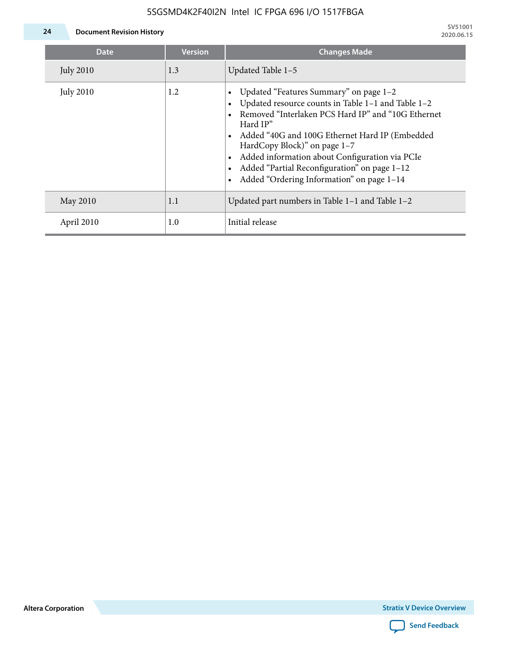### 5SGSMD4K2F40I2N Intel IC FPGA 696 I/O 1517FBGA



**24 Document Revision History**

| <b>Date</b>      | <b>Version</b> | <b>Changes Made</b>                                                                                                                                                                                                                                                                                                                                                                             |
|------------------|----------------|-------------------------------------------------------------------------------------------------------------------------------------------------------------------------------------------------------------------------------------------------------------------------------------------------------------------------------------------------------------------------------------------------|
| <b>July 2010</b> | 1.3            | Updated Table 1-5                                                                                                                                                                                                                                                                                                                                                                               |
| <b>July 2010</b> | 1.2            | Updated "Features Summary" on page 1-2<br>Updated resource counts in Table 1-1 and Table 1-2<br>Removed "Interlaken PCS Hard IP" and "10G Ethernet<br>Hard IP"<br>Added "40G and 100G Ethernet Hard IP (Embedded<br>HardCopy Block)" on page 1-7<br>Added information about Configuration via PCIe<br>Added "Partial Reconfiguration" on page 1-12<br>Added "Ordering Information" on page 1-14 |
| May 2010         | 1.1            | Updated part numbers in Table $1-1$ and Table $1-2$                                                                                                                                                                                                                                                                                                                                             |
| April 2010       | 1.0            | Initial release                                                                                                                                                                                                                                                                                                                                                                                 |

**Altera Corporation**